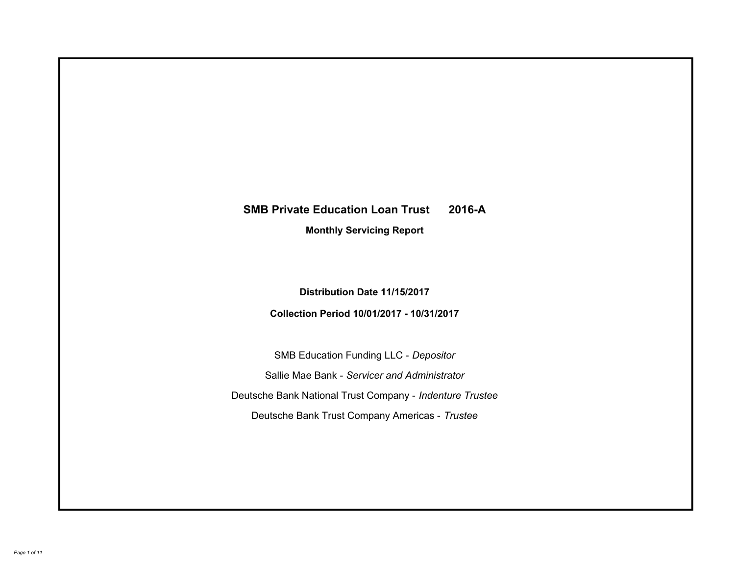# **SMB Private Education Loan Trust 2016-A Monthly Servicing Report**

**Distribution Date 11/15/2017**

**Collection Period 10/01/2017 - 10/31/2017**

SMB Education Funding LLC - *Depositor* Sallie Mae Bank - *Servicer and Administrator* Deutsche Bank National Trust Company - *Indenture Trustee* Deutsche Bank Trust Company Americas - *Trustee*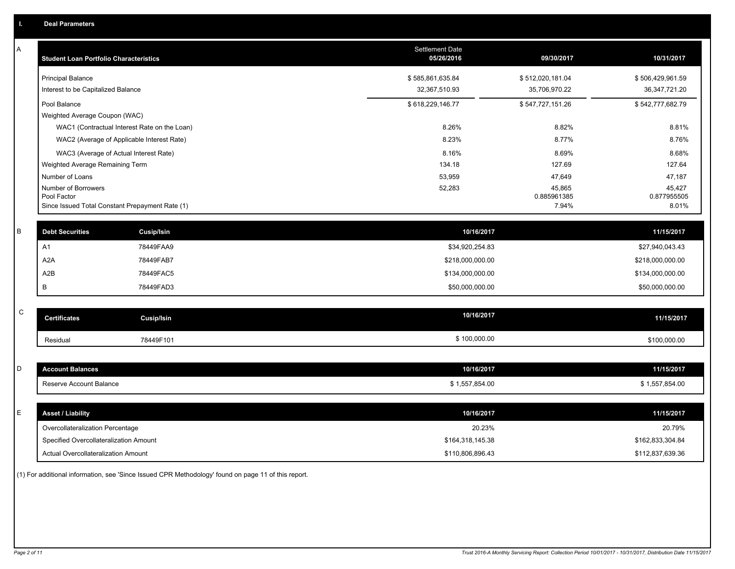| Α           | <b>Student Loan Portfolio Characteristics</b>   |                                              | <b>Settlement Date</b><br>05/26/2016 | 09/30/2017            | 10/31/2017            |
|-------------|-------------------------------------------------|----------------------------------------------|--------------------------------------|-----------------------|-----------------------|
|             | <b>Principal Balance</b>                        |                                              | \$585,861,635.84                     | \$512,020,181.04      | \$506,429,961.59      |
|             | Interest to be Capitalized Balance              |                                              | 32,367,510.93                        | 35,706,970.22         | 36, 347, 721. 20      |
|             | Pool Balance                                    |                                              | \$618,229,146.77                     | \$547,727,151.26      | \$542,777,682.79      |
|             | Weighted Average Coupon (WAC)                   |                                              |                                      |                       |                       |
|             |                                                 | WAC1 (Contractual Interest Rate on the Loan) | 8.26%                                | 8.82%                 | 8.81%                 |
|             | WAC2 (Average of Applicable Interest Rate)      |                                              | 8.23%                                | 8.77%                 | 8.76%                 |
|             | WAC3 (Average of Actual Interest Rate)          |                                              | 8.16%                                | 8.69%                 | 8.68%                 |
|             | Weighted Average Remaining Term                 |                                              | 134.18                               | 127.69                | 127.64                |
|             | Number of Loans                                 |                                              | 53,959                               | 47,649                | 47,187                |
|             | Number of Borrowers<br>Pool Factor              |                                              | 52,283                               | 45,865<br>0.885961385 | 45,427<br>0.877955505 |
|             | Since Issued Total Constant Prepayment Rate (1) |                                              |                                      | 7.94%                 | 8.01%                 |
|             |                                                 |                                              |                                      |                       |                       |
| B           | <b>Debt Securities</b>                          | <b>Cusip/Isin</b>                            | 10/16/2017                           |                       | 11/15/2017            |
|             | A1                                              | 78449FAA9                                    | \$34,920,254.83                      |                       | \$27,940,043.43       |
|             | A <sub>2</sub> A                                | 78449FAB7                                    | \$218,000,000.00                     |                       | \$218,000,000.00      |
|             | A2B                                             | 78449FAC5                                    | \$134,000,000.00                     |                       | \$134,000,000.00      |
|             | В                                               | 78449FAD3                                    | \$50,000,000.00                      |                       | \$50,000,000.00       |
|             |                                                 |                                              |                                      |                       |                       |
| $\mathbf C$ | <b>Certificates</b>                             | Cusip/Isin                                   | 10/16/2017                           |                       | 11/15/2017            |
|             | Residual                                        | 78449F101                                    | \$100,000.00                         |                       | \$100,000.00          |
|             |                                                 |                                              |                                      |                       |                       |
| D           | <b>Account Balances</b>                         |                                              | 10/16/2017                           |                       | 11/15/2017            |
|             | Reserve Account Balance                         |                                              | \$1,557,854.00                       |                       | \$1,557,854.00        |
|             |                                                 |                                              |                                      |                       |                       |
| Е           | <b>Asset / Liability</b>                        |                                              | 10/16/2017                           |                       | 11/15/2017            |
|             | Overcollateralization Percentage                |                                              | 20.23%                               |                       | 20.79%                |
|             | Specified Overcollateralization Amount          |                                              | \$164,318,145.38                     |                       | \$162,833,304.84      |
|             | <b>Actual Overcollateralization Amount</b>      |                                              | \$110,806,896,43                     |                       | \$112.837.639.36      |

(1) For additional information, see 'Since Issued CPR Methodology' found on page 11 of this report.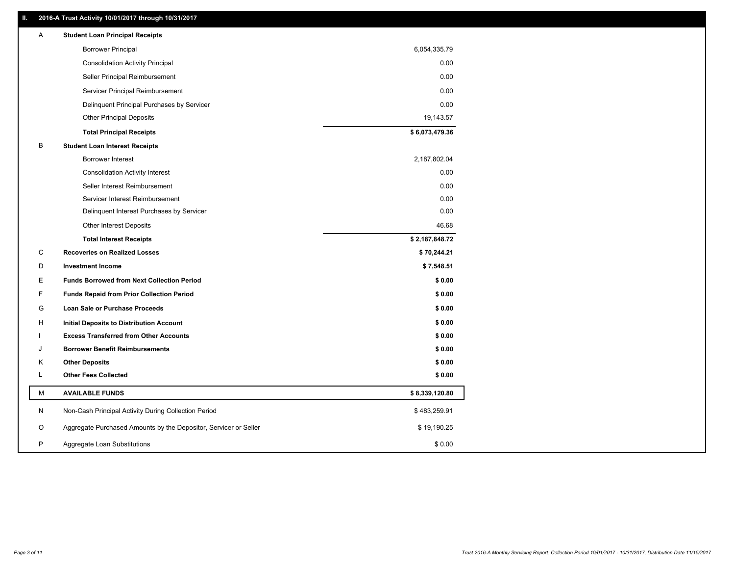### **II. 2016-A Trust Activity 10/01/2017 through 10/31/2017**

| <b>Borrower Principal</b><br>6,054,335.79<br><b>Consolidation Activity Principal</b><br>0.00<br>Seller Principal Reimbursement<br>0.00<br>Servicer Principal Reimbursement<br>0.00<br>Delinquent Principal Purchases by Servicer<br>0.00<br><b>Other Principal Deposits</b><br>19,143.57<br>\$6,073,479.36<br><b>Total Principal Receipts</b><br>В<br><b>Student Loan Interest Receipts</b><br><b>Borrower Interest</b><br>2,187,802.04<br>0.00<br><b>Consolidation Activity Interest</b><br>Seller Interest Reimbursement<br>0.00<br>0.00<br>Servicer Interest Reimbursement<br>0.00<br>Delinquent Interest Purchases by Servicer<br>46.68<br><b>Other Interest Deposits</b><br>\$2,187,848.72<br><b>Total Interest Receipts</b><br>C<br><b>Recoveries on Realized Losses</b><br>\$70,244.21<br>D<br><b>Investment Income</b><br>\$7,548.51<br>E.<br><b>Funds Borrowed from Next Collection Period</b><br>\$0.00<br>F<br><b>Funds Repaid from Prior Collection Period</b><br>\$0.00<br>\$0.00<br>G<br>Loan Sale or Purchase Proceeds<br>\$0.00<br>н<br>Initial Deposits to Distribution Account<br>\$0.00<br><b>Excess Transferred from Other Accounts</b><br><b>Borrower Benefit Reimbursements</b><br>\$0.00<br>J<br><b>Other Deposits</b><br>\$0.00<br>κ<br><b>Other Fees Collected</b><br>L<br>\$0.00<br>М<br><b>AVAILABLE FUNDS</b><br>\$8,339,120.80<br>N<br>Non-Cash Principal Activity During Collection Period<br>\$483,259.91<br>O<br>Aggregate Purchased Amounts by the Depositor, Servicer or Seller<br>\$19,190.25<br>P<br>Aggregate Loan Substitutions<br>\$0.00 | A | <b>Student Loan Principal Receipts</b> |  |
|---------------------------------------------------------------------------------------------------------------------------------------------------------------------------------------------------------------------------------------------------------------------------------------------------------------------------------------------------------------------------------------------------------------------------------------------------------------------------------------------------------------------------------------------------------------------------------------------------------------------------------------------------------------------------------------------------------------------------------------------------------------------------------------------------------------------------------------------------------------------------------------------------------------------------------------------------------------------------------------------------------------------------------------------------------------------------------------------------------------------------------------------------------------------------------------------------------------------------------------------------------------------------------------------------------------------------------------------------------------------------------------------------------------------------------------------------------------------------------------------------------------------------------------------------------------------------------|---|----------------------------------------|--|
|                                                                                                                                                                                                                                                                                                                                                                                                                                                                                                                                                                                                                                                                                                                                                                                                                                                                                                                                                                                                                                                                                                                                                                                                                                                                                                                                                                                                                                                                                                                                                                                 |   |                                        |  |
|                                                                                                                                                                                                                                                                                                                                                                                                                                                                                                                                                                                                                                                                                                                                                                                                                                                                                                                                                                                                                                                                                                                                                                                                                                                                                                                                                                                                                                                                                                                                                                                 |   |                                        |  |
|                                                                                                                                                                                                                                                                                                                                                                                                                                                                                                                                                                                                                                                                                                                                                                                                                                                                                                                                                                                                                                                                                                                                                                                                                                                                                                                                                                                                                                                                                                                                                                                 |   |                                        |  |
|                                                                                                                                                                                                                                                                                                                                                                                                                                                                                                                                                                                                                                                                                                                                                                                                                                                                                                                                                                                                                                                                                                                                                                                                                                                                                                                                                                                                                                                                                                                                                                                 |   |                                        |  |
|                                                                                                                                                                                                                                                                                                                                                                                                                                                                                                                                                                                                                                                                                                                                                                                                                                                                                                                                                                                                                                                                                                                                                                                                                                                                                                                                                                                                                                                                                                                                                                                 |   |                                        |  |
|                                                                                                                                                                                                                                                                                                                                                                                                                                                                                                                                                                                                                                                                                                                                                                                                                                                                                                                                                                                                                                                                                                                                                                                                                                                                                                                                                                                                                                                                                                                                                                                 |   |                                        |  |
|                                                                                                                                                                                                                                                                                                                                                                                                                                                                                                                                                                                                                                                                                                                                                                                                                                                                                                                                                                                                                                                                                                                                                                                                                                                                                                                                                                                                                                                                                                                                                                                 |   |                                        |  |
|                                                                                                                                                                                                                                                                                                                                                                                                                                                                                                                                                                                                                                                                                                                                                                                                                                                                                                                                                                                                                                                                                                                                                                                                                                                                                                                                                                                                                                                                                                                                                                                 |   |                                        |  |
|                                                                                                                                                                                                                                                                                                                                                                                                                                                                                                                                                                                                                                                                                                                                                                                                                                                                                                                                                                                                                                                                                                                                                                                                                                                                                                                                                                                                                                                                                                                                                                                 |   |                                        |  |
|                                                                                                                                                                                                                                                                                                                                                                                                                                                                                                                                                                                                                                                                                                                                                                                                                                                                                                                                                                                                                                                                                                                                                                                                                                                                                                                                                                                                                                                                                                                                                                                 |   |                                        |  |
|                                                                                                                                                                                                                                                                                                                                                                                                                                                                                                                                                                                                                                                                                                                                                                                                                                                                                                                                                                                                                                                                                                                                                                                                                                                                                                                                                                                                                                                                                                                                                                                 |   |                                        |  |
|                                                                                                                                                                                                                                                                                                                                                                                                                                                                                                                                                                                                                                                                                                                                                                                                                                                                                                                                                                                                                                                                                                                                                                                                                                                                                                                                                                                                                                                                                                                                                                                 |   |                                        |  |
|                                                                                                                                                                                                                                                                                                                                                                                                                                                                                                                                                                                                                                                                                                                                                                                                                                                                                                                                                                                                                                                                                                                                                                                                                                                                                                                                                                                                                                                                                                                                                                                 |   |                                        |  |
|                                                                                                                                                                                                                                                                                                                                                                                                                                                                                                                                                                                                                                                                                                                                                                                                                                                                                                                                                                                                                                                                                                                                                                                                                                                                                                                                                                                                                                                                                                                                                                                 |   |                                        |  |
|                                                                                                                                                                                                                                                                                                                                                                                                                                                                                                                                                                                                                                                                                                                                                                                                                                                                                                                                                                                                                                                                                                                                                                                                                                                                                                                                                                                                                                                                                                                                                                                 |   |                                        |  |
|                                                                                                                                                                                                                                                                                                                                                                                                                                                                                                                                                                                                                                                                                                                                                                                                                                                                                                                                                                                                                                                                                                                                                                                                                                                                                                                                                                                                                                                                                                                                                                                 |   |                                        |  |
|                                                                                                                                                                                                                                                                                                                                                                                                                                                                                                                                                                                                                                                                                                                                                                                                                                                                                                                                                                                                                                                                                                                                                                                                                                                                                                                                                                                                                                                                                                                                                                                 |   |                                        |  |
|                                                                                                                                                                                                                                                                                                                                                                                                                                                                                                                                                                                                                                                                                                                                                                                                                                                                                                                                                                                                                                                                                                                                                                                                                                                                                                                                                                                                                                                                                                                                                                                 |   |                                        |  |
|                                                                                                                                                                                                                                                                                                                                                                                                                                                                                                                                                                                                                                                                                                                                                                                                                                                                                                                                                                                                                                                                                                                                                                                                                                                                                                                                                                                                                                                                                                                                                                                 |   |                                        |  |
|                                                                                                                                                                                                                                                                                                                                                                                                                                                                                                                                                                                                                                                                                                                                                                                                                                                                                                                                                                                                                                                                                                                                                                                                                                                                                                                                                                                                                                                                                                                                                                                 |   |                                        |  |
|                                                                                                                                                                                                                                                                                                                                                                                                                                                                                                                                                                                                                                                                                                                                                                                                                                                                                                                                                                                                                                                                                                                                                                                                                                                                                                                                                                                                                                                                                                                                                                                 |   |                                        |  |
|                                                                                                                                                                                                                                                                                                                                                                                                                                                                                                                                                                                                                                                                                                                                                                                                                                                                                                                                                                                                                                                                                                                                                                                                                                                                                                                                                                                                                                                                                                                                                                                 |   |                                        |  |
|                                                                                                                                                                                                                                                                                                                                                                                                                                                                                                                                                                                                                                                                                                                                                                                                                                                                                                                                                                                                                                                                                                                                                                                                                                                                                                                                                                                                                                                                                                                                                                                 |   |                                        |  |
|                                                                                                                                                                                                                                                                                                                                                                                                                                                                                                                                                                                                                                                                                                                                                                                                                                                                                                                                                                                                                                                                                                                                                                                                                                                                                                                                                                                                                                                                                                                                                                                 |   |                                        |  |
|                                                                                                                                                                                                                                                                                                                                                                                                                                                                                                                                                                                                                                                                                                                                                                                                                                                                                                                                                                                                                                                                                                                                                                                                                                                                                                                                                                                                                                                                                                                                                                                 |   |                                        |  |
|                                                                                                                                                                                                                                                                                                                                                                                                                                                                                                                                                                                                                                                                                                                                                                                                                                                                                                                                                                                                                                                                                                                                                                                                                                                                                                                                                                                                                                                                                                                                                                                 |   |                                        |  |
|                                                                                                                                                                                                                                                                                                                                                                                                                                                                                                                                                                                                                                                                                                                                                                                                                                                                                                                                                                                                                                                                                                                                                                                                                                                                                                                                                                                                                                                                                                                                                                                 |   |                                        |  |
|                                                                                                                                                                                                                                                                                                                                                                                                                                                                                                                                                                                                                                                                                                                                                                                                                                                                                                                                                                                                                                                                                                                                                                                                                                                                                                                                                                                                                                                                                                                                                                                 |   |                                        |  |
|                                                                                                                                                                                                                                                                                                                                                                                                                                                                                                                                                                                                                                                                                                                                                                                                                                                                                                                                                                                                                                                                                                                                                                                                                                                                                                                                                                                                                                                                                                                                                                                 |   |                                        |  |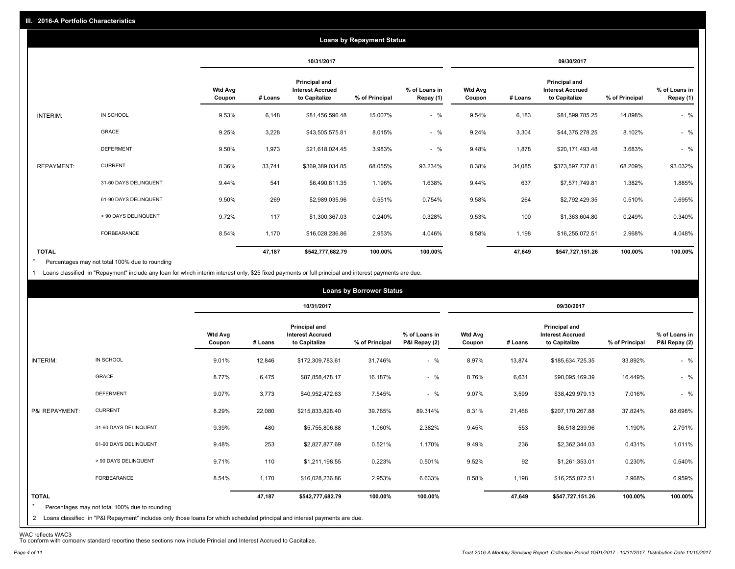|                   |                       |                          |         |                                                           | <b>Loans by Repayment Status</b> |                            |                          |         |                                                                  |                |                            |
|-------------------|-----------------------|--------------------------|---------|-----------------------------------------------------------|----------------------------------|----------------------------|--------------------------|---------|------------------------------------------------------------------|----------------|----------------------------|
|                   |                       |                          |         | 10/31/2017                                                |                                  |                            |                          |         | 09/30/2017                                                       |                |                            |
|                   |                       | <b>Wtd Avg</b><br>Coupon | # Loans | Principal and<br><b>Interest Accrued</b><br>to Capitalize | % of Principal                   | % of Loans in<br>Repay (1) | <b>Wtd Avg</b><br>Coupon | # Loans | <b>Principal and</b><br><b>Interest Accrued</b><br>to Capitalize | % of Principal | % of Loans in<br>Repay (1) |
| INTERIM:          | IN SCHOOL             | 9.53%                    | 6,148   | \$81,456,596.48                                           | 15.007%                          | $-$ %                      | 9.54%                    | 6,183   | \$81,599,785.25                                                  | 14.898%        | $-$ %                      |
|                   | GRACE                 | 9.25%                    | 3,228   | \$43,505,575.81                                           | 8.015%                           | $-$ %                      | 9.24%                    | 3,304   | \$44,375,278.25                                                  | 8.102%         | $-$ %                      |
|                   | <b>DEFERMENT</b>      | 9.50%                    | 1,973   | \$21,618,024.45                                           | 3.983%                           | $-$ %                      | 9.48%                    | 1,878   | \$20,171,493.48                                                  | 3.683%         | $-$ %                      |
| <b>REPAYMENT:</b> | <b>CURRENT</b>        | 8.36%                    | 33,741  | \$369,389,034.85                                          | 68.055%                          | 93.234%                    | 8.38%                    | 34,085  | \$373,597,737.81                                                 | 68.209%        | 93.032%                    |
|                   | 31-60 DAYS DELINQUENT | 9.44%                    | 541     | \$6,490,811.35                                            | 1.196%                           | 1.638%                     | 9.44%                    | 637     | \$7,571,749.81                                                   | 1.382%         | 1.885%                     |
|                   | 61-90 DAYS DELINQUENT | 9.50%                    | 269     | \$2,989,035.96                                            | 0.551%                           | 0.754%                     | 9.58%                    | 264     | \$2,792,429.35                                                   | 0.510%         | 0.695%                     |
|                   | > 90 DAYS DELINQUENT  | 9.72%                    | 117     | \$1,300,367.03                                            | 0.240%                           | 0.328%                     | 9.53%                    | 100     | \$1,363,604.80                                                   | 0.249%         | 0.340%                     |
|                   | <b>FORBEARANCE</b>    | 8.54%                    | 1,170   | \$16,028,236.86                                           | 2.953%                           | 4.046%                     | 8.58%                    | 1,198   | \$16,255,072.51                                                  | 2.968%         | 4.048%                     |
| <b>TOTAL</b>      |                       |                          | 47,187  | \$542,777,682.79                                          | 100.00%                          | 100.00%                    |                          | 47,649  | \$547,727,151.26                                                 | 100.00%        | 100.00%                    |

Percentages may not total 100% due to rounding \*

1 Loans classified in "Repayment" include any loan for which interim interest only, \$25 fixed payments or full principal and interest payments are due.

|                         |                                                                                                                                                                                |                          |         |                                                           | <b>Loans by Borrower Status</b> |                                |                          |         |                                                                  |                |                                |
|-------------------------|--------------------------------------------------------------------------------------------------------------------------------------------------------------------------------|--------------------------|---------|-----------------------------------------------------------|---------------------------------|--------------------------------|--------------------------|---------|------------------------------------------------------------------|----------------|--------------------------------|
|                         |                                                                                                                                                                                |                          |         | 10/31/2017                                                |                                 |                                |                          |         | 09/30/2017                                                       |                |                                |
|                         |                                                                                                                                                                                | <b>Wtd Avg</b><br>Coupon | # Loans | Principal and<br><b>Interest Accrued</b><br>to Capitalize | % of Principal                  | % of Loans in<br>P&I Repay (2) | <b>Wtd Avg</b><br>Coupon | # Loans | <b>Principal and</b><br><b>Interest Accrued</b><br>to Capitalize | % of Principal | % of Loans in<br>P&I Repay (2) |
| INTERIM:                | IN SCHOOL                                                                                                                                                                      | 9.01%                    | 12,846  | \$172,309,783.61                                          | 31.746%                         | $-$ %                          | 8.97%                    | 13,874  | \$185,634,725.35                                                 | 33.892%        | $-$ %                          |
|                         | GRACE                                                                                                                                                                          | 8.77%                    | 6,475   | \$87,858,478.17                                           | 16.187%                         | $-$ %                          | 8.76%                    | 6,631   | \$90,095,169.39                                                  | 16.449%        | $-$ %                          |
|                         | <b>DEFERMENT</b>                                                                                                                                                               | 9.07%                    | 3,773   | \$40,952,472.63                                           | 7.545%                          | $-$ %                          | 9.07%                    | 3,599   | \$38,429,979.13                                                  | 7.016%         | $-$ %                          |
| P&I REPAYMENT:          | <b>CURRENT</b>                                                                                                                                                                 | 8.29%                    | 22,080  | \$215,833,828.40                                          | 39.765%                         | 89.314%                        | 8.31%                    | 21,466  | \$207,170,267.88                                                 | 37.824%        | 88.698%                        |
|                         | 31-60 DAYS DELINQUENT                                                                                                                                                          | 9.39%                    | 480     | \$5,755,806.88                                            | 1.060%                          | 2.382%                         | 9.45%                    | 553     | \$6,518,239.96                                                   | 1.190%         | 2.791%                         |
|                         | 61-90 DAYS DELINQUENT                                                                                                                                                          | 9.48%                    | 253     | \$2,827,877.69                                            | 0.521%                          | 1.170%                         | 9.49%                    | 236     | \$2,362,344.03                                                   | 0.431%         | 1.011%                         |
|                         | > 90 DAYS DELINQUENT                                                                                                                                                           | 9.71%                    | 110     | \$1,211,198.55                                            | 0.223%                          | 0.501%                         | 9.52%                    | 92      | \$1,261,353.01                                                   | 0.230%         | 0.540%                         |
|                         | FORBEARANCE                                                                                                                                                                    | 8.54%                    | 1,170   | \$16,028,236.86                                           | 2.953%                          | 6.633%                         | 8.58%                    | 1,198   | \$16,255,072.51                                                  | 2.968%         | 6.959%                         |
| <b>TOTAL</b><br>$\star$ | Percentages may not total 100% due to rounding<br>2 Loans classified in "P&I Repayment" includes only those loans for which scheduled principal and interest payments are due. |                          | 47,187  | \$542,777,682.79                                          | 100.00%                         | 100.00%                        |                          | 47,649  | \$547,727,151.26                                                 | 100.00%        | 100.00%                        |

WAC reflects WAC3 To conform with company standard reporting these sections now include Princial and Interest Accrued to Capitalize.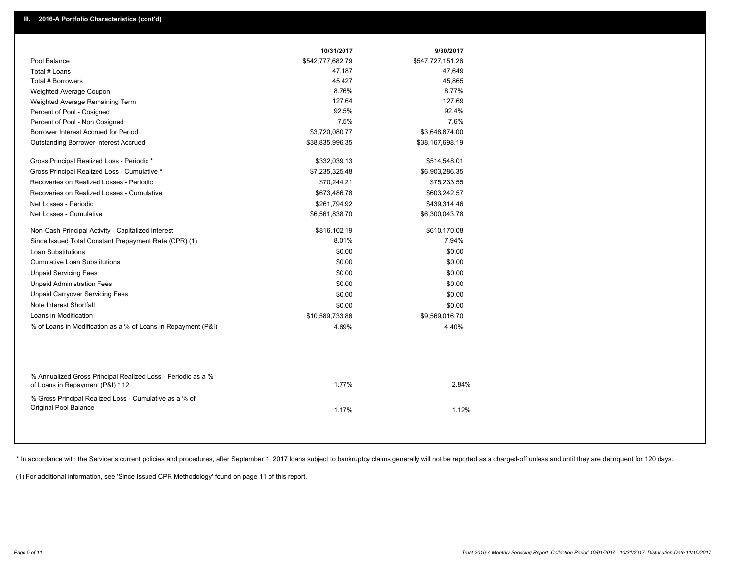|                                                                                                  | 10/31/2017       | 9/30/2017        |
|--------------------------------------------------------------------------------------------------|------------------|------------------|
| Pool Balance                                                                                     | \$542,777,682.79 | \$547,727,151.26 |
| Total # Loans                                                                                    | 47,187           | 47,649           |
| Total # Borrowers                                                                                | 45,427           | 45,865           |
| Weighted Average Coupon                                                                          | 8.76%            | 8.77%            |
| Weighted Average Remaining Term                                                                  | 127.64           | 127.69           |
| Percent of Pool - Cosigned                                                                       | 92.5%            | 92.4%            |
| Percent of Pool - Non Cosigned                                                                   | 7.5%             | 7.6%             |
| Borrower Interest Accrued for Period                                                             | \$3,720,080.77   | \$3,648,874.00   |
| Outstanding Borrower Interest Accrued                                                            | \$38,835,996.35  | \$38,167,698.19  |
| Gross Principal Realized Loss - Periodic *                                                       | \$332,039.13     | \$514,548.01     |
| Gross Principal Realized Loss - Cumulative *                                                     | \$7,235,325.48   | \$6,903,286.35   |
| Recoveries on Realized Losses - Periodic                                                         | \$70,244.21      | \$75,233.55      |
| Recoveries on Realized Losses - Cumulative                                                       | \$673,486.78     | \$603,242.57     |
| Net Losses - Periodic                                                                            | \$261,794.92     | \$439,314.46     |
| Net Losses - Cumulative                                                                          | \$6,561,838.70   | \$6,300,043.78   |
| Non-Cash Principal Activity - Capitalized Interest                                               | \$816,102.19     | \$610,170.08     |
| Since Issued Total Constant Prepayment Rate (CPR) (1)                                            | 8.01%            | 7.94%            |
| <b>Loan Substitutions</b>                                                                        | \$0.00           | \$0.00           |
| <b>Cumulative Loan Substitutions</b>                                                             | \$0.00           | \$0.00           |
| <b>Unpaid Servicing Fees</b>                                                                     | \$0.00           | \$0.00           |
| <b>Unpaid Administration Fees</b>                                                                | \$0.00           | \$0.00           |
| <b>Unpaid Carryover Servicing Fees</b>                                                           | \$0.00           | \$0.00           |
| Note Interest Shortfall                                                                          | \$0.00           | \$0.00           |
| Loans in Modification                                                                            | \$10,589,733.86  | \$9,569,016.70   |
| % of Loans in Modification as a % of Loans in Repayment (P&I)                                    | 4.69%            | 4.40%            |
|                                                                                                  |                  |                  |
| % Annualized Gross Principal Realized Loss - Periodic as a %<br>of Loans in Repayment (P&I) * 12 | 1.77%            | 2.84%            |
| % Gross Principal Realized Loss - Cumulative as a % of<br>Original Pool Balance                  | 1.17%            | 1.12%            |
|                                                                                                  |                  |                  |

\* In accordance with the Servicer's current policies and procedures, after September 1, 2017 loans subject to bankruptcy claims generally will not be reported as a charged-off unless and until they are delinquent for 120 d

(1) For additional information, see 'Since Issued CPR Methodology' found on page 11 of this report.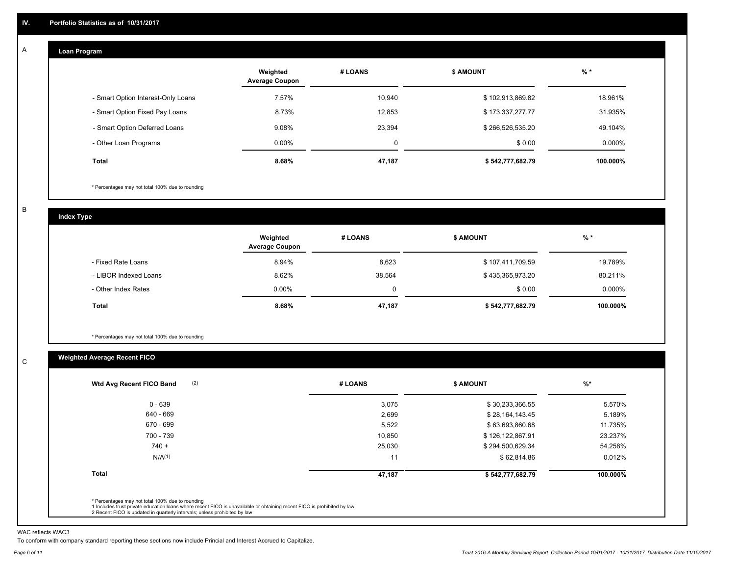#### **Loan Program**  A

|                                    | Weighted<br><b>Average Coupon</b> | # LOANS | <b>\$ AMOUNT</b> | $%$ *     |
|------------------------------------|-----------------------------------|---------|------------------|-----------|
| - Smart Option Interest-Only Loans | 7.57%                             | 10.940  | \$102,913,869.82 | 18.961%   |
| - Smart Option Fixed Pay Loans     | 8.73%                             | 12,853  | \$173,337,277.77 | 31.935%   |
| - Smart Option Deferred Loans      | 9.08%                             | 23.394  | \$266,526,535.20 | 49.104%   |
| - Other Loan Programs              | $0.00\%$                          | 0       | \$0.00           | $0.000\%$ |
| <b>Total</b>                       | 8.68%                             | 47,187  | \$542,777,682.79 | 100.000%  |

\* Percentages may not total 100% due to rounding

B

C

**Index Type**

|                       | Weighted<br><b>Average Coupon</b> | # LOANS | <b>\$ AMOUNT</b> | $%$ *     |
|-----------------------|-----------------------------------|---------|------------------|-----------|
| - Fixed Rate Loans    | 8.94%                             | 8,623   | \$107,411,709.59 | 19.789%   |
| - LIBOR Indexed Loans | 8.62%                             | 38,564  | \$435,365,973.20 | 80.211%   |
| - Other Index Rates   | $0.00\%$                          |         | \$0.00           | $0.000\%$ |
| <b>Total</b>          | 8.68%                             | 47,187  | \$542,777,682.79 | 100.000%  |

\* Percentages may not total 100% due to rounding

## **Weighted Average Recent FICO**

| 3,075<br>2,699<br>5,522<br>10.850 | \$30,233,366.55<br>\$28,164,143.45<br>\$63,693,860.68<br>\$126,122,867.91 | 5.570%<br>5.189%<br>11.735% |
|-----------------------------------|---------------------------------------------------------------------------|-----------------------------|
|                                   |                                                                           |                             |
|                                   |                                                                           |                             |
|                                   |                                                                           |                             |
|                                   |                                                                           | 23.237%                     |
| 25,030                            | \$294,500,629.34                                                          | 54.258%                     |
| 11                                | \$62,814.86                                                               | 0.012%                      |
|                                   | \$542,777,682.79                                                          | 100.000%                    |
|                                   | 47,187                                                                    |                             |

WAC reflects WAC3

To conform with company standard reporting these sections now include Princial and Interest Accrued to Capitalize.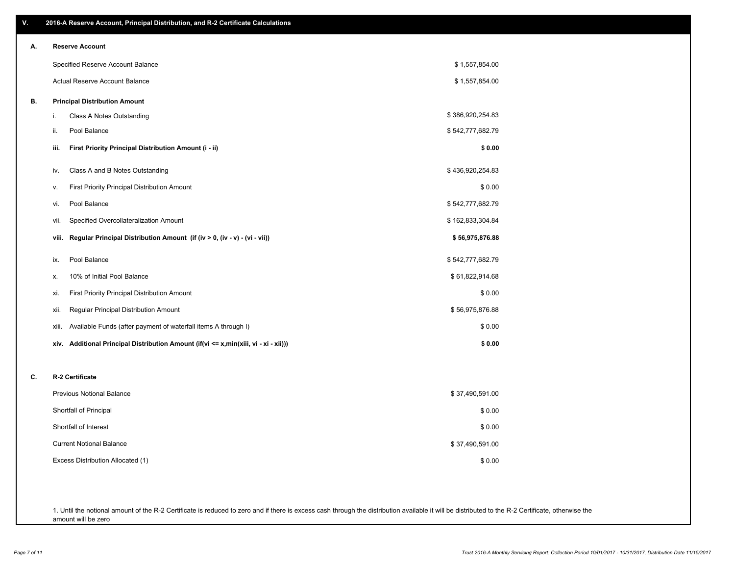| V. | 2016-A Reserve Account, Principal Distribution, and R-2 Certificate Calculations     |                  |
|----|--------------------------------------------------------------------------------------|------------------|
| А. | <b>Reserve Account</b>                                                               |                  |
|    | Specified Reserve Account Balance                                                    | \$1,557,854.00   |
|    | Actual Reserve Account Balance                                                       | \$1,557,854.00   |
| В. | <b>Principal Distribution Amount</b>                                                 |                  |
|    | i.<br>Class A Notes Outstanding                                                      | \$386,920,254.83 |
|    | Pool Balance<br>ii.                                                                  | \$542,777,682.79 |
|    | First Priority Principal Distribution Amount (i - ii)<br>iii.                        | \$0.00           |
|    | Class A and B Notes Outstanding<br>iv.                                               | \$436,920,254.83 |
|    | <b>First Priority Principal Distribution Amount</b><br>v.                            | \$0.00           |
|    | Pool Balance<br>vi.                                                                  | \$542,777,682.79 |
|    | Specified Overcollateralization Amount<br>vii.                                       | \$162,833,304.84 |
|    | Regular Principal Distribution Amount (if (iv > 0, (iv - v) - (vi - vii))<br>viii.   | \$56,975,876.88  |
|    | Pool Balance<br>ix.                                                                  | \$542,777,682.79 |
|    | 10% of Initial Pool Balance<br>х.                                                    | \$61,822,914.68  |
|    | <b>First Priority Principal Distribution Amount</b><br>xi.                           | \$0.00           |
|    | Regular Principal Distribution Amount<br>xii.                                        | \$56,975,876.88  |
|    | Available Funds (after payment of waterfall items A through I)<br>xiii.              | \$0.00           |
|    | xiv. Additional Principal Distribution Amount (if(vi <= x,min(xiii, vi - xi - xii))) | \$0.00           |
| C. | R-2 Certificate                                                                      |                  |
|    | <b>Previous Notional Balance</b>                                                     | \$37,490,591.00  |
|    | Shortfall of Principal                                                               | \$0.00           |
|    | Shortfall of Interest                                                                | \$0.00           |
|    | <b>Current Notional Balance</b>                                                      | \$37,490,591.00  |
|    | Excess Distribution Allocated (1)                                                    | \$0.00           |
|    |                                                                                      |                  |
|    |                                                                                      |                  |
|    |                                                                                      |                  |

1. Until the notional amount of the R-2 Certificate is reduced to zero and if there is excess cash through the distribution available it will be distributed to the R-2 Certificate, otherwise the amount will be zero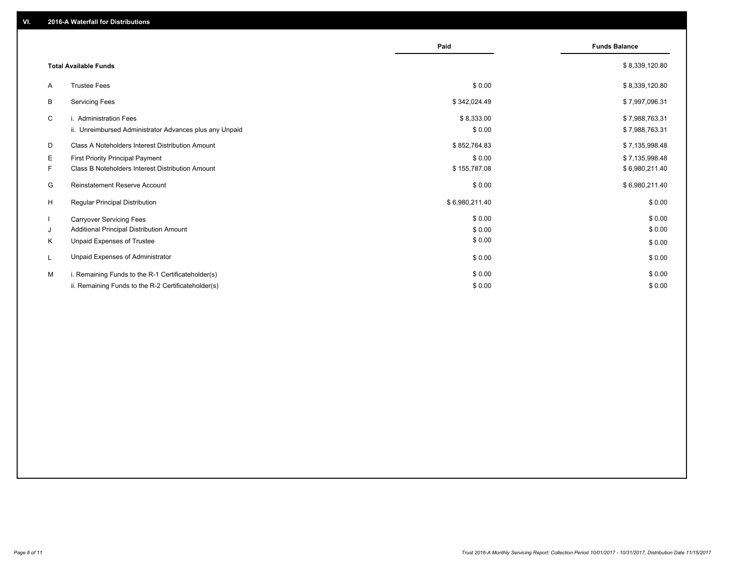|    |                                                         | Paid           | <b>Funds Balance</b> |
|----|---------------------------------------------------------|----------------|----------------------|
|    | <b>Total Available Funds</b>                            |                | \$8,339,120.80       |
| A  | <b>Trustee Fees</b>                                     | \$0.00         | \$8,339,120.80       |
| B  | <b>Servicing Fees</b>                                   | \$342,024.49   | \$7,997,096.31       |
| C  | i. Administration Fees                                  | \$8,333.00     | \$7,988,763.31       |
|    | ii. Unreimbursed Administrator Advances plus any Unpaid | \$0.00         | \$7,988,763.31       |
| D  | Class A Noteholders Interest Distribution Amount        | \$852,764.83   | \$7,135,998.48       |
| Е  | <b>First Priority Principal Payment</b>                 | \$0.00         | \$7,135,998.48       |
| F. | Class B Noteholders Interest Distribution Amount        | \$155,787.08   | \$6,980,211.40       |
| G  | <b>Reinstatement Reserve Account</b>                    | \$0.00         | \$6,980,211.40       |
| H  | <b>Regular Principal Distribution</b>                   | \$6,980,211.40 | \$0.00               |
|    | <b>Carryover Servicing Fees</b>                         | \$0.00         | \$0.00               |
| J  | Additional Principal Distribution Amount                | \$0.00         | \$0.00               |
| K  | Unpaid Expenses of Trustee                              | \$0.00         | \$0.00               |
| L  | Unpaid Expenses of Administrator                        | \$0.00         | \$0.00               |
| м  | i. Remaining Funds to the R-1 Certificateholder(s)      | \$0.00         | \$0.00               |
|    | ii. Remaining Funds to the R-2 Certificateholder(s)     | \$0.00         | \$0.00               |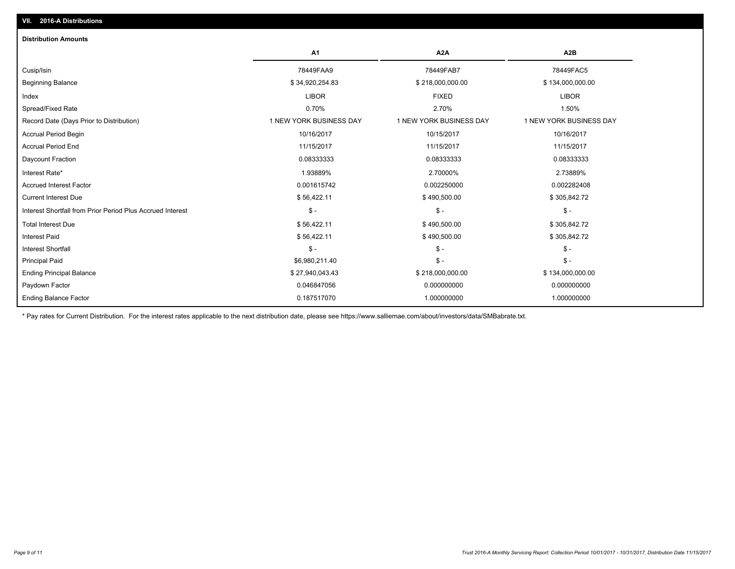| A1                      | A <sub>2</sub> A        | A <sub>2</sub> B        |
|-------------------------|-------------------------|-------------------------|
| 78449FAA9               | 78449FAB7               | 78449FAC5               |
| \$34,920,254.83         | \$218,000,000.00        | \$134,000,000.00        |
| <b>LIBOR</b>            | <b>FIXED</b>            | <b>LIBOR</b>            |
| 0.70%                   | 2.70%                   | 1.50%                   |
| 1 NEW YORK BUSINESS DAY | 1 NEW YORK BUSINESS DAY | 1 NEW YORK BUSINESS DAY |
| 10/16/2017              | 10/15/2017              | 10/16/2017              |
| 11/15/2017              | 11/15/2017              | 11/15/2017              |
| 0.08333333              | 0.08333333              | 0.08333333              |
| 1.93889%                | 2.70000%                | 2.73889%                |
| 0.001615742             | 0.002250000             | 0.002282408             |
| \$56,422.11             | \$490,500.00            | \$305,842.72            |
| $\mathsf{\$}$ -         | $\mathsf{\$}$ -         | $\mathsf{\$}$ -         |
| \$56,422.11             | \$490,500.00            | \$305,842.72            |
| \$56,422.11             | \$490,500.00            | \$305,842.72            |
| $\frac{2}{3}$ -         | $\mathcal{S}$ -         | $\mathsf{\$}$ -         |
| \$6,980,211.40          | $\mathsf{\$}$ -         | $\mathsf{\$}$ -         |
| \$27,940,043.43         | \$218,000,000.00        | \$134,000,000.00        |
| 0.046847056             | 0.000000000             | 0.000000000             |
| 0.187517070             | 1.000000000             | 1.000000000             |
|                         |                         |                         |

\* Pay rates for Current Distribution. For the interest rates applicable to the next distribution date, please see https://www.salliemae.com/about/investors/data/SMBabrate.txt.

**VII. 2016-A Distributions**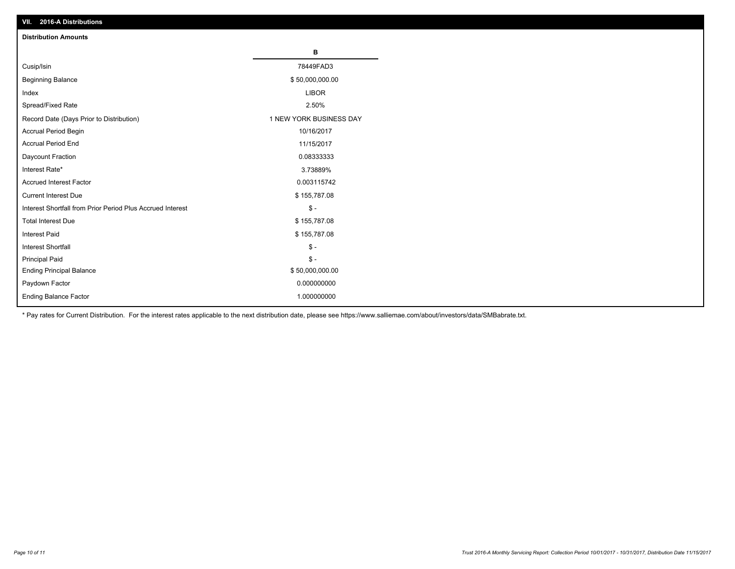| VII. 40 IV-A DISTINUTIONS                                  |                         |
|------------------------------------------------------------|-------------------------|
| <b>Distribution Amounts</b>                                |                         |
|                                                            | в                       |
| Cusip/Isin                                                 | 78449FAD3               |
| <b>Beginning Balance</b>                                   | \$50,000,000.00         |
| Index                                                      | <b>LIBOR</b>            |
| Spread/Fixed Rate                                          | 2.50%                   |
| Record Date (Days Prior to Distribution)                   | 1 NEW YORK BUSINESS DAY |
| Accrual Period Begin                                       | 10/16/2017              |
| <b>Accrual Period End</b>                                  | 11/15/2017              |
| Daycount Fraction                                          | 0.08333333              |
| Interest Rate*                                             | 3.73889%                |
| <b>Accrued Interest Factor</b>                             | 0.003115742             |
| <b>Current Interest Due</b>                                | \$155,787.08            |
| Interest Shortfall from Prior Period Plus Accrued Interest | $\mathsf{\$}$ -         |
| <b>Total Interest Due</b>                                  | \$155,787.08            |
| Interest Paid                                              | \$155,787.08            |
| <b>Interest Shortfall</b>                                  | $\mathbb{S}$ -          |
| <b>Principal Paid</b>                                      | $\frac{2}{3}$ -         |
| <b>Ending Principal Balance</b>                            | \$50,000,000.00         |
| Paydown Factor                                             | 0.000000000             |
| <b>Ending Balance Factor</b>                               | 1.000000000             |

\* Pay rates for Current Distribution. For the interest rates applicable to the next distribution date, please see https://www.salliemae.com/about/investors/data/SMBabrate.txt.

**VII. 2016-A Distributions**